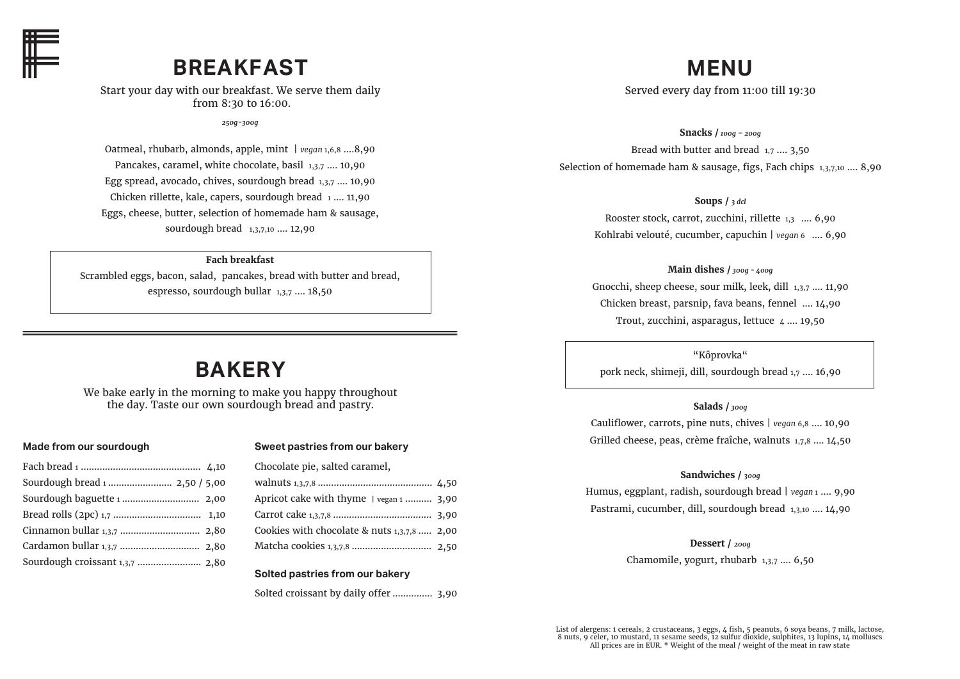

## **BREAKFAST**

Start your day with our breakfast. We serve them daily from 8:30 to 16:00.

*250g-300g*

Oatmeal, rhubarb, almonds, apple, mint | *vegan* 1,6,8 ....8,90 Pancakes, caramel, white chocolate, basil 1,3,7 .... 10,90 Egg spread, avocado, chives, sourdough bread 1,3,7 .... 10,90 Chicken rillette, kale, capers, sourdough bread 1 .... 11,90 Eggs, cheese, butter, selection of homemade ham & sausage, sourdough bread 1,3,7,10 .... 12,90

### **Fach breakfast**

Scrambled eggs, bacon, salad, pancakes, bread with butter and bread, espresso, sourdough bullar 1,3,7 …. 18,50

## **BAKERY**

We bake early in the morning to make you happy throughout the day. Taste our own sourdough bread and pastry.

#### **Made from our sourdough**

| Sourdough bread 1  2,50 / 5,00  |  |
|---------------------------------|--|
|                                 |  |
|                                 |  |
|                                 |  |
|                                 |  |
| Sourdough croissant 1,3,7  2,80 |  |
|                                 |  |

#### **Sweet pastries from our bakery**

| Chocolate pie, salted caramel,              |  |
|---------------------------------------------|--|
|                                             |  |
| Apricot cake with thyme   vegan 1  3,90     |  |
|                                             |  |
| Cookies with chocolate & nuts 1,3,7,8  2,00 |  |
| Matcha cookies 1,3,7,8  2,50                |  |
|                                             |  |

#### **Solted pastries from our bakery**

Solted croissant by daily offer ............... 3,90

# **MENU**

Served every day from 11:00 till 19:30

**Snacks /** *100g – 200g* Bread with butter and bread 1,7 .... 3,50 Selection of homemade ham & sausage, figs, Fach chips 1,3,7,10 .... 8,90

**Soups /** *3 dcl*

Rooster stock, carrot, zucchini, rillette 1,3 .... 6,90 Kohlrabi velouté, cucumber, capuchin | *vegan* 6 .... 6,90

**Main dishes /** *300g - 400g* Gnocchi, sheep cheese, sour milk, leek, dill 1,3,7 .... 11,90 Chicken breast, parsnip, fava beans, fennel .... 14,90 Trout, zucchini, asparagus, lettuce  $\mu$  ..., 19,50

"Kôprovka"

pork neck, shimeji, dill, sourdough bread 1,7 …. 16,90

### **Salads /** *300g*

Cauliflower, carrots, pine nuts, chives | *vegan* 6,8 .... 10,90 Grilled cheese, peas, crème fraîche, walnuts 1,7,8 .... 14,50

### **Sandwiches /** *300g*

Humus, eggplant, radish, sourdough bread | *vegan* 1 …. 9,90 Pastrami, cucumber, dill, sourdough bread 1,3,10 …. 14,90

**Dessert /** *200g*

Chamomile, yogurt, rhubarb 1,3,7 …. 6,50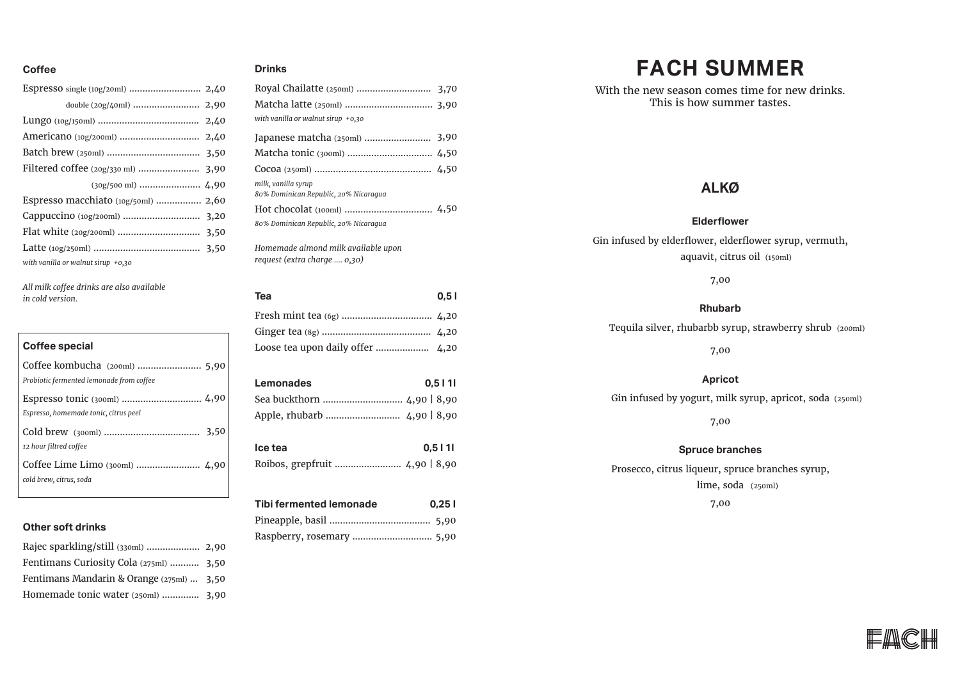### **Coffee Drinks**

| with vanilla or walnut sirup $+0.30$ |  |
|--------------------------------------|--|

*All milk coffee drinks are also available in cold version.* 

### **Coffee special** Coffee kombucha (200ml) ........................ 5,90 *Probiotic fermented lemonade from coffee*  Espresso tonic (300ml) .............................. 4,90 *Espresso, homemade tonic, citrus peel*  Cold brew (300ml) .................................... 3,50 *12 hour filtred coffee*

Coffee Lime Limo (300ml) ........................ 4,90 *cold brew, citrus, soda*

### **Other soft drinks**

| Fentimans Curiosity Cola (275ml)  3,50    |  |
|-------------------------------------------|--|
| Fentimans Mandarin & Orange (275ml)  3,50 |  |
| Homemade tonic water (250ml)  3,90        |  |
|                                           |  |

| with vanilla or walnut sirup $+0.30$  |
|---------------------------------------|
| Japanese matcha (250ml)  3,90         |
|                                       |
|                                       |
| milk, vanilla syrup                   |
| 80% Dominican Republic, 20% Nicaraqua |
|                                       |
| 80% Dominican Republic, 20% Nicaraqua |
| Homemade almond milk available upon   |

*request (extra charge .... 0,30)*

**Lemonades 0,5 l 1l** Sea buckthorn .............................. 4,90 | 8,90 Apple, rhubarb ............................ 4,90 | 8,90 **Tea 0,5 l** Fresh mint tea (6g) .................................. 4,20 Ginger tea (8g) ......................................... 4,20 Loose tea upon daily offer .................... 4,20 **Ice tea 0,5 l 1l** Roibos, grepfruit ......................... 4,90 | 8,90 **Tibi fermented lemonade 0,25 l** Pineapple, basil ...................................... 5,90

Raspberry, rosemary .............................. 5,90

# **FACH SUMMER**

With the new season comes time for new drinks. This is how summer tastes.

### **ALKØ**

### **Elderflower**

Gin infused by elderflower, elderflower syrup, vermuth, aquavit, citrus oil (150ml)

7,00

#### **Rhubarb**

Tequila silver, rhubarbb syrup, strawberry shrub (200ml)

7,00

### **Apricot**

Gin infused by yogurt, milk syrup, apricot, soda (250ml)

7,00

#### **Spruce branches**

Prosecco, citrus liqueur, spruce branches syrup, lime, soda (250ml)7,00